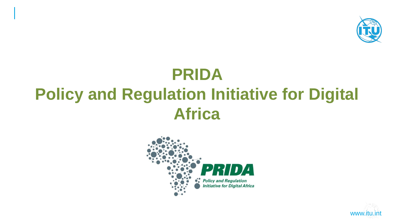

# **PRIDA Policy and Regulation Initiative for Digital Africa**



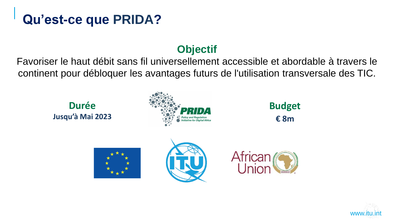## **Qu'est-ce que PRIDA?**

#### **Objectif**

Favoriser le haut débit sans fil universellement accessible et abordable à travers le continent pour débloquer les avantages futurs de l'utilisation transversale des TIC.

#### **Durée Jusqu'à Mai 2023**



**Budget € 8m**







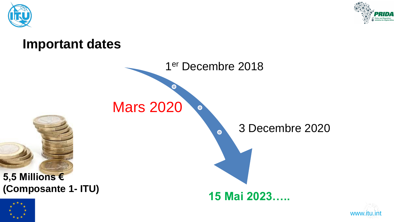



#### **Important dates**





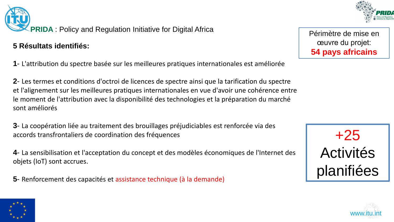

Périmètre de mise en œuvre du projet: **54 pays africains**



**5 Résultats identifiés:** 

**1**- L'attribution du spectre basée sur les meilleures pratiques internationales est améliorée

**2**- Les termes et conditions d'octroi de licences de spectre ainsi que la tarification du spectre et l'alignement sur les meilleures pratiques internationales en vue d'avoir une cohérence entre le moment de l'attribution avec la disponibilité des technologies et la préparation du marché sont améliorés

**3**- La coopération liée au traitement des brouillages préjudiciables est renforcée via des accords transfrontaliers de coordination des fréquences

**4**- La sensibilisation et l'acceptation du concept et des modèles économiques de l'Internet des objets (IoT) sont accrues.

**5**- Renforcement des capacités et assistance technique (à la demande)





 $\hat{\star}$  www.itu.int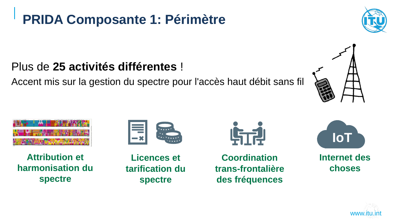**PRIDA Composante 1: Périmètre**

#### Plus de **25 activités différentes** !

Accent mis sur la gestion du spectre pour l'accès haut débit sans fil



**Attribution et harmonisation du spectre**



**Coordination trans-frontalière des fréquences**











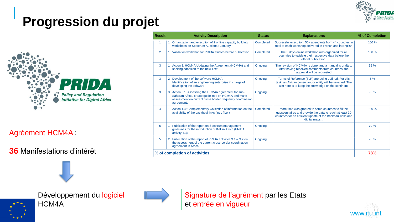

## **Progression du projet**



#### Agréement HCM4A :

#### **36** Manifestations d'intérêt

| <b>Result</b>                 | <b>Activity Description</b>                                                                                                                                                               | <b>Status</b> | <b>Explanations</b>                                                                                                                                                                            | % of Completion |
|-------------------------------|-------------------------------------------------------------------------------------------------------------------------------------------------------------------------------------------|---------------|------------------------------------------------------------------------------------------------------------------------------------------------------------------------------------------------|-----------------|
|                               | Organization and execution of 2 online capacity building<br>workshops on Spectrum Auctions : January                                                                                      | Completed     | Successful execution, 50+ attendants from 44 countries in<br>total to each workshop delivered in French and in English                                                                         | 100 %           |
| $\overline{2}$                | Validation workshop for PRIDA studies before publication.                                                                                                                                 | Completed     | The 3 days online workshop was organized for all<br>countries to validate their respective data before the<br>official publication.                                                            | 100 %           |
| 3                             | Action 3. HCM4A Updating the Agreement (HCM4A) and<br>seeking adhesion to the new Text                                                                                                    | Ongoing       | The revision of HCM4A is done, and a manual is drafted.<br>After having received comments from countries, the<br>approval will be requested                                                    | 95 %            |
| 3                             | Development of the software HCM4A<br>2.<br>Identification of an engineering enterprise in charge of<br>developing the software                                                            | Ongoing       | Terms of Reference (ToR) are being defined. For this<br>task, an African consultant or entity will be selected. The<br>aim here is to keep the knowledge on the continent.                     | 5%              |
| 3                             | Action 3.1. Assessing the HCM4A agreement for sub-<br>3<br>Saharan Africa, create guidelines on HCM4A and make<br>assessment on current cross border frequency coordination<br>agreements | Ongoing       |                                                                                                                                                                                                | 90 %            |
| 4                             | Action 1.4: Complementary Collection of information on the<br>availability of the backhaul links (incl. fiber)                                                                            | Completed     | More time was granted to some countries to fill the<br>questionnaires and provide the data to reach at least 30<br>countries for an efficient update of the Backhaul links and<br>digital maps | 100 %           |
| 5                             | Publication of the report on Spectrum management<br>guidelines for the introduction of IMT in Africa (PRIDA<br>activity 1.3).                                                             | Ongoing       |                                                                                                                                                                                                | 70 %            |
| 5                             | Publication of the report of PRIDA activities 3.1 & 3.2 on<br>$\overline{2}$<br>the assessment of the current cross-border coordination<br>agreement in Africa.                           | Ongoing       |                                                                                                                                                                                                | 70 %            |
| % of completion of activities |                                                                                                                                                                                           |               |                                                                                                                                                                                                |                 |



Développement du logiciel HCM4A



Signature de l'agrément par les Etats et entrée en vigueur

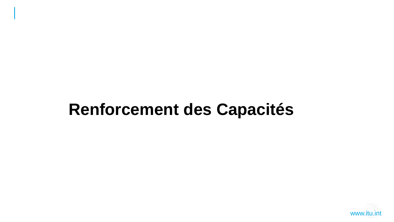# **Renforcement des Capacités**

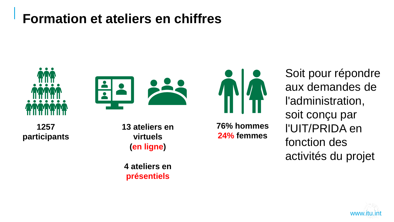#### **Formation et ateliers en chiffres**







**1257 participants**  **13 ateliers en virtuels (en ligne)**

**4 ateliers en présentiels**

**76% hommes 24% femmes** 

Soit pour répondre aux demandes de l'administration, soit conçu par l'UIT/PRIDA en fonction des activités du projet

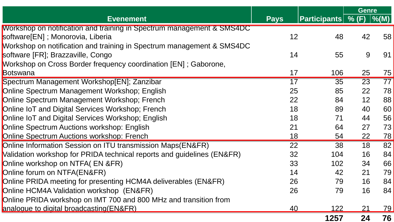|                                                                        |             |                             | <b>Genre</b> |                   |
|------------------------------------------------------------------------|-------------|-----------------------------|--------------|-------------------|
| <b>Evenement</b>                                                       | <b>Pays</b> | <b>Participants</b>   % (F) |              | $\frac{9}{6}$ (M) |
| Workshop on notification and training in Spectrum management & SMS4DC  |             |                             |              |                   |
| software[EN]; Monorovia, Liberia                                       | 12          | 48                          | 42           | 58                |
| Workshop on notification and training in Spectrum management & SMS4DC  |             |                             |              |                   |
| software [FR]; Brazzaville, Congo                                      | 14          | 55                          | 9            | 91                |
| Workshop on Cross Border frequency coordination [EN]; Gaborone,        |             |                             |              |                   |
| Botswana                                                               | 17          | 106                         | 25           | 75                |
| Spectrum Management Workshop[EN]; Zanzibar                             | 17          | 35                          | 23           | 77                |
| Online Spectrum Management Workshop; English                           | 25          | 85                          | 22           | 78                |
| Online Spectrum Management Workshop; French                            | 22          | 84                          | 12           | 88                |
| Online IoT and Digital Services Workshop; French                       | 18          | 89                          | 40           | 60                |
| Online IoT and Digital Services Workshop; English                      | 18          | 71                          | 44           | 56                |
| Online Spectrum Auctions workshop: English                             | 21          | 64                          | 27           | 73                |
| Online Spectrum Auctions workshop: French                              | 18          | 54                          | 22           | 78                |
| Online Information Session on ITU transmission Maps(EN&FR)             | 22          | 38                          | 18           | 82                |
| Validation workshop for PRIDA technical reports and guidelines (EN&FR) | 32          | 104                         | 16           | 84                |
| Online workshop on NTFA(EN &FR)                                        | 33          | 102                         | 34           | 66                |
| Online forum on NTFA(EN&FR)                                            | 14          | 42                          | 21           | 79                |
| Online PRIDA meeting for presenting HCM4A deliverables (EN&FR)         | 26          | 79                          | 16           | 84                |
| Online HCM4A Validation workshop (EN&FR)                               | 26          | 79                          | 16           | 84                |
| Online PRIDA workshop on IMT 700 and 800 MHz and transition from       |             |                             |              |                   |
| analogue to digital broadcasting (EN&FR)                               | <u>40</u>   | <u> 122 </u>                | 21           | <u>79</u>         |
|                                                                        |             | 1257                        | 24           | 76                |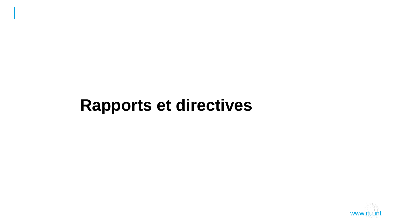# **Rapports et directives**

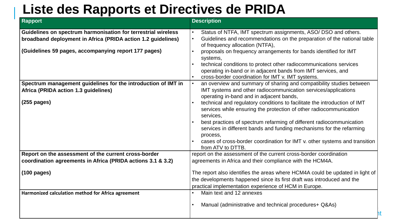#### **Liste des Rapports et Directives de PRIDA**

| <b>Rapport</b>                                                | <b>Description</b>                                                                                                 |
|---------------------------------------------------------------|--------------------------------------------------------------------------------------------------------------------|
| Guidelines on spectrum harmonisation for terrestrial wireless | Status of NTFA, IMT spectrum assignments, ASO/ DSO and others.                                                     |
| broadband deployment in Africa (PRIDA action 1.2 guidelines)  | Guidelines and recommendations on the preparation of the national table                                            |
|                                                               | of frequency allocation (NTFA),                                                                                    |
| (Guidelines 59 pages, accompanying report 177 pages)          | proposals on frequency arrangements for bands identified for IMT                                                   |
|                                                               | systems,                                                                                                           |
|                                                               | technical conditions to protect other radiocommunications services                                                 |
|                                                               | operating in-band or in adjacent bands from IMT services, and<br>cross-border coordination for IMT v. IMT systems. |
| Spectrum management guidelines for the introduction of IMT in | an overview and summary of sharing and compatibility studies between                                               |
| Africa (PRIDA action 1.3 guidelines)                          | IMT systems and other radiocommunication services/applications                                                     |
|                                                               | operating in-band and in adjacent bands,                                                                           |
| $(255$ pages)                                                 | technical and regulatory conditions to facilitate the introduction of IMT                                          |
|                                                               | services while ensuring the protection of other radiocommunication                                                 |
|                                                               | services,                                                                                                          |
|                                                               | best practices of spectrum refarming of different radiocommunication                                               |
|                                                               | services in different bands and funding mechanisms for the refarming                                               |
|                                                               | process,                                                                                                           |
|                                                               | cases of cross-border coordination for IMT v. other systems and transition<br>from ATV to DTTB.                    |
| Report on the assessment of the current cross-border          | report on the assessment of the current cross-border coordination                                                  |
| coordination agreements in Africa (PRIDA actions 3.1 & 3.2)   | agreements in Africa and their compliance with the HCM4A.                                                          |
|                                                               |                                                                                                                    |
| $(100 \text{ pages})$                                         | The report also identifies the areas where HCM4A could be updated in light of                                      |
|                                                               | the developments happened since its first draft was introduced and the                                             |
|                                                               | practical implementation experience of HCM in Europe.                                                              |
| Harmonized calculation method for Africa agreement            | Main text and 12 annexes                                                                                           |
|                                                               | Manual (administrative and technical procedures + Q&As)                                                            |
|                                                               |                                                                                                                    |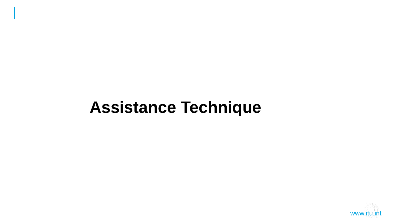# **Assistance Technique**

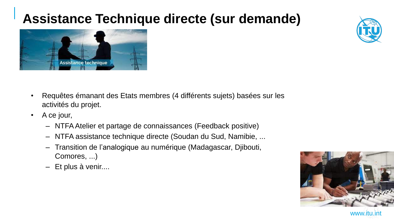## **Assistance Technique directe (sur demande)**





- Requêtes émanant des Etats membres (4 différents sujets) basées sur les activités du projet.
- A ce jour,
	- NTFA Atelier et partage de connaissances (Feedback positive)
	- NTFA assistance technique directe (Soudan du Sud, Namibie, ...
	- Transition de l'analogique au numérique (Madagascar, Djibouti, Comores, ...)
	- Et plus à venir....



www.itu.int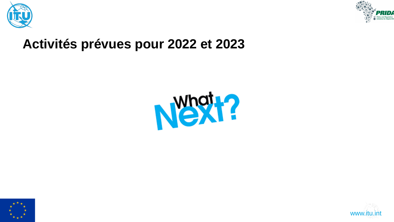



#### **Activités prévues pour 2022 et 2023**





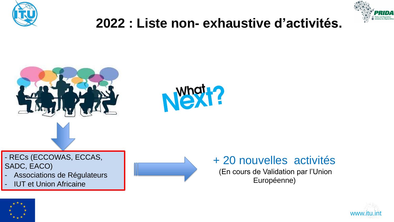



## **2022 : Liste non- exhaustive d'activités.**





- RECs (ECCOWAS, ECCAS, SADC, EACO)

- Associations de Régulateurs
- **IUT et Union Africaine**



#### + 20 nouvelles activités

(En cours de Validation par l'Union Européenne)



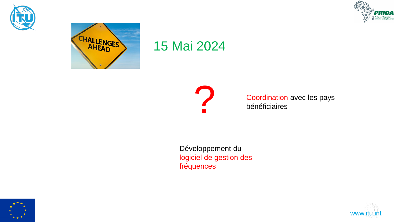





#### 15 Mai 2024



Coordination avec les pays bénéficiaires

Développement du logiciel de gestion des fréquences